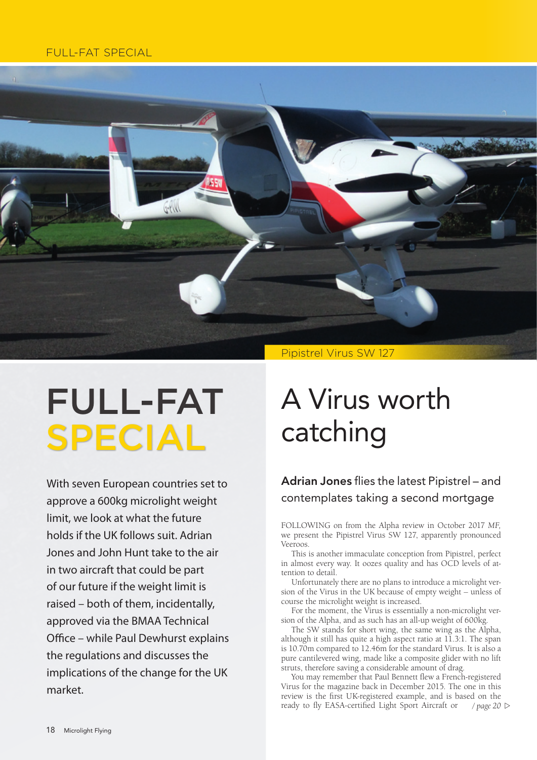#### FULL-FAT SPECIAL



# FULL-FAT SPECIAL

With seven European countries set to approve a 600kg microlight weight limit, we look at what the future holds if the UK follows suit. Adrian Jones and John Hunt take to the air in two aircraft that could be part of our future if the weight limit is raised – both of them, incidentally, approved via the BMAA Technical Office – while Paul Dewhurst explains the regulations and discusses the implications of the change for the UK market.

## A Virus worth catching

### Adrian Jones flies the latest Pipistrel – and contemplates taking a second mortgage

FOLLOWING on from the Alpha review in October 2017 *MF,* we present the Pipistrel Virus SW 127, apparently pronounced Veeroos.

This is another immaculate conception from Pipistrel, perfect in almost every way. It oozes quality and has OCD levels of at tention to detail.

Unfortunately there are no plans to introduce a microlight ver sion of the Virus in the UK because of empty weight – unless of course the microlight weight is increased.

For the moment, the Virus is essentially a non-microlight version of the Alpha, and as such has an all-up weight of 600kg.

The SW stands for short wing, the same wing as the Alpha, although it still has quite a high aspect ratio at 11.3:1. The span is  $10.70$ m compared to  $12.46$ m for the standard Virus. It is also a pure cantilevered wing, made like a composite glider with no lift struts, therefore saving a considerable amount of drag.

You may remember that Paul Bennett flew a French-registered Virus for the magazine back in December 2015. The one in this review is the first UK-registered example, and is based on the ready to fly EASA-certified Light Sport Aircraft or / page 20  $\triangleright$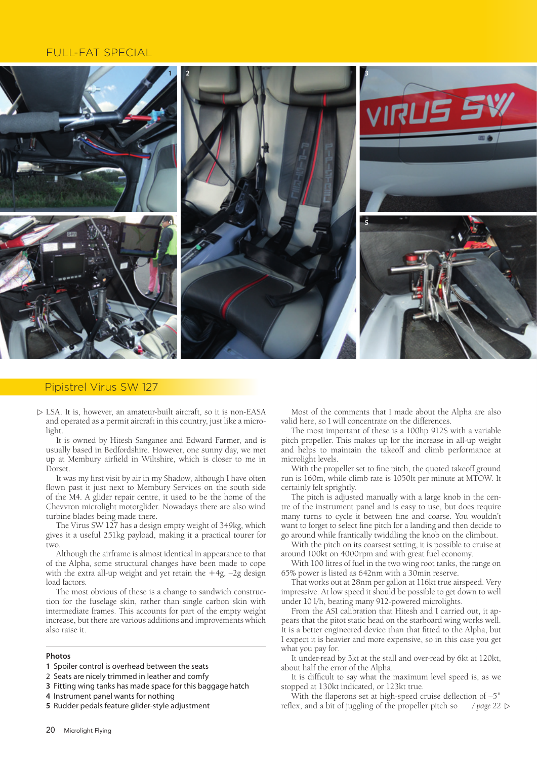#### **FULL-FAT SPECIAL**



#### Pipistrel Virus SW 127

 $\triangleright$  LSA. It is, however, an amateur-built aircraft, so it is non-EASA and operated as a permit aircraft in this country, just like a microlight.

It is owned by Hitesh Sanganee and Edward Farmer, and is usually based in Bedfordshire. However, one sunny day, we met up at Membury airfield in Wiltshire, which is closer to me in Dorset.

It was my first visit by air in my Shadow, although I have often flown past it just next to Membury Services on the south side of the M4. A glider repair centre, it used to be the home of the Chevvron microlight motorglider. Nowadays there are also wind turbine blades being made there.

The Virus SW 127 has a design empty weight of 349kg, which gives it a useful 251kg payload, making it a practical tourer for two.

Although the airframe is almost identical in appearance to that of the Alpha, some structural changes have been made to cope with the extra all-up weight and yet retain the  $+4g$ ,  $-2g$  design load factors.

The most obvious of these is a change to sandwich construction for the fuselage skin, rather than single carbon skin with intermediate frames. This accounts for part of the empty weight increase, but there are various additions and improvements which also raise it.

#### Photos

- 1 Spoiler control is overhead between the seats
- 2 Seats are nicely trimmed in leather and comfy
- 3 Fitting wing tanks has made space for this baggage hatch
- 4 Instrument panel wants for nothing
- 5 Rudder pedals feature glider-style adjustment

Most of the comments that I made about the Alpha are also valid here, so I will concentrate on the differences.

The most important of these is a 100hp 912S with a variable pitch propeller. This makes up for the increase in all-up weight and helps to maintain the takeoff and climb performance at microlight levels.

With the propeller set to fine pitch, the quoted takeoff ground run is 160m, while climb rate is 1050ft per minute at MTOW. It certainly felt sprightly.

The pitch is adjusted manually with a large knob in the centre of the instrument panel and is easy to use, but does require many turns to cycle it between fine and coarse. You wouldn't want to forget to select fine pitch for a landing and then decide to go around while frantically twiddling the knob on the climbout.

With the pitch on its coarsest setting, it is possible to cruise at around 100kt on 4000rpm and with great fuel economy.

With 100 litres of fuel in the two wing root tanks, the range on 65% power is listed as 642nm with a 30min reserve.

That works out at 28nm per gallon at 116kt true airspeed. Very impressive. At low speed it should be possible to get down to well under 10 l/h, beating many 912-powered microlights.

From the ASI calibration that Hitesh and I carried out, it appears that the pitot static head on the starboard wing works well. It is a better engineered device than that fitted to the Alpha, but I expect it is heavier and more expensive, so in this case you get what you pay for.

It under-read by 3kt at the stall and over-read by 6kt at 120kt, about half the error of the Alpha.

It is difficult to say what the maximum level speed is, as we stopped at 130kt indicated, or 123kt true.

With the flaperons set at high-speed cruise deflection of -5° reflex, and a bit of juggling of the propeller pitch so / page 22  $\triangleright$